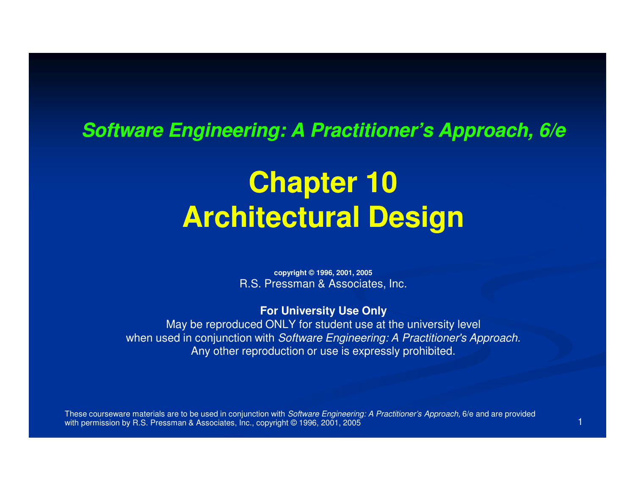#### **Software Engineering: A Practitioner's Approach, 6/e**

### **Chapter 10Architectural Design**

**copyright © 1996, 2001, 2005**R.S. Pressman & Associates, Inc.

#### **For University Use Only**

 May be reproduced ONLY for student use at the university levelwhen used in conjunction with Software Engineering: A Practitioner's Approach. Any other reproduction or use is expressly prohibited.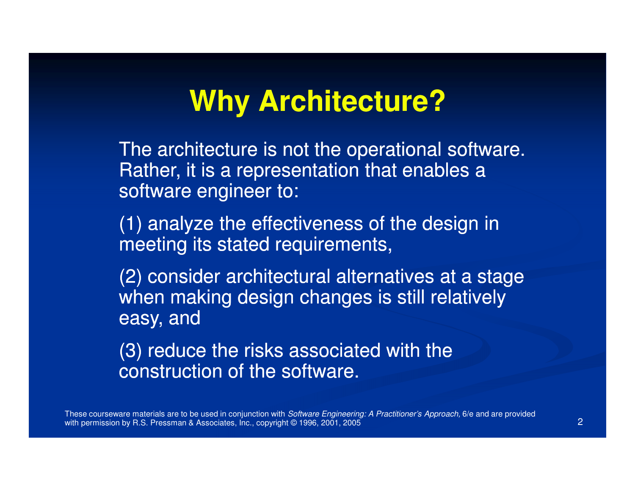### **Why Architecture?**

The architecture is not the operational software. Rather, it is a representation that enables a software engineer to:

(1) analyze the effectiveness of the design in meeting its stated requirements,

(2) consider architectural alternatives at a stage when making design changes is still relatively easy, and

(3) reduce the risks associated with the construction of the software.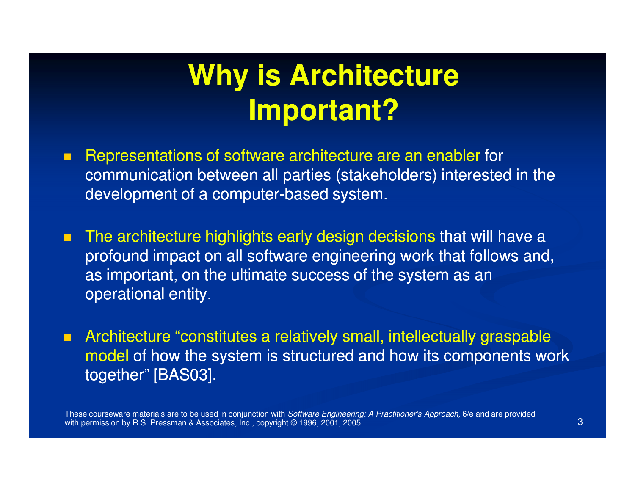### **Why is Architecture Important?**

- $\blacksquare$  Representations of software architecture are an enabler for communication between all parties (stakeholders) interested in the development of a computer-based system.
- п The architecture highlights early design decisions that will have a profound impact on all software engineering work that follows and, as important, on the ultimate success of the system as an operational entity.
- **EXP** Architecture "constitutes a relatively small, intellectually graspable model of how the system is structured and how its components work together" [BAS03].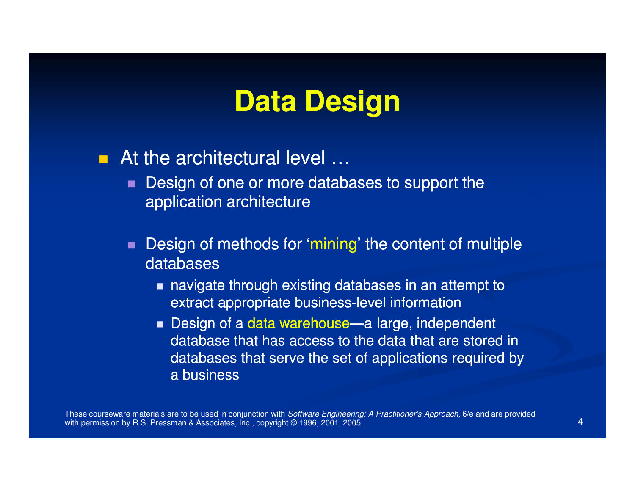### **Data Design**

 $\blacksquare$ At the architectural level ...

- $\blacksquare$ ■ Design of one or more databases to support the application architecture
- Design of methods for 'mining' the content of multiple databases
	- **navigate through existing databases in an attempt to** extract appropriate business-level information
	- Design of a data warehouse—a large, independent database that has access to the data that are stored in databases that serve the set of applications required by a business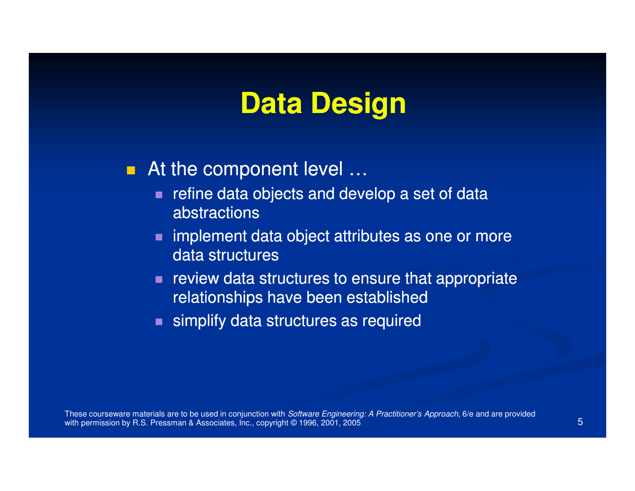### **Data Design**

### ■ At the component level …

- $\blacksquare$ refine data objects and develop a set of data abstractions
- **nd implement data object attributes as one or more** data structures
- review data structures to ensure that appropriate relationships have been established
- **Simplify data structures as required**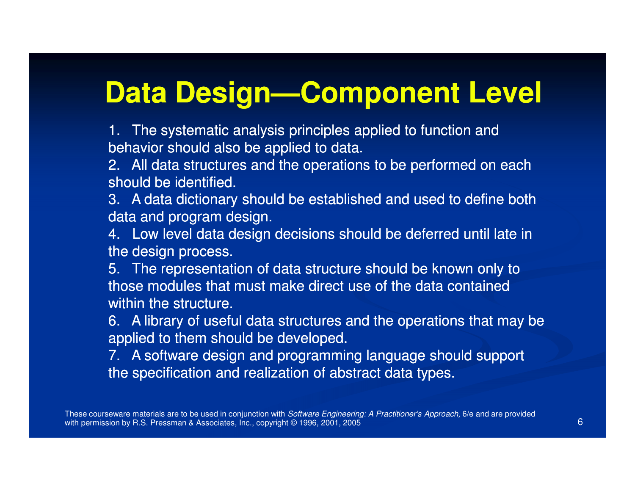# **Data Design—Component Level**

1. The systematic analysis principles applied to function and behavior should also be applied to data.

 2. All data structures and the operations to be performed on each should be identified.

 3. A data dictionary should be established and used to define both data and program design.

4. Low level data design decisions should be deferred until late in the design process.

5. The representation of data structure should be known only to those modules that must make direct use of the data contained within the structure.

6. A library of useful data structures and the operations that may be applied to them should be developed.

 7. A software design and programming language should support the specification and realization of abstract data types.

These courseware materials are to be used in conjunction with *Software Engineering: A Practitioner's Approach,* 6/e and are provided with permission by R.S. Pressman & Associates, Inc., copyright © 1996, 2001, 2005 $\overline{5}$  6 and  $\overline{6}$  6 and  $\overline{6}$  6 and  $\overline{6}$  6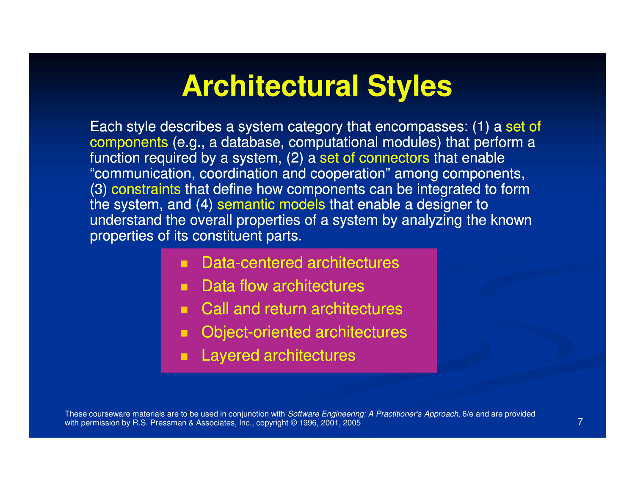### **Architectural Styles**

Each style describes a system category that encompasses: (1) a set of components (e.g., a database, computational modules) that perform a function required by a system, (2) a set of connectors that enable "communication, coordination and cooperation" among components, (3) constraints that define how components can be integrated to form the system, and (4) semantic models that enable a designer to understand the overall properties of a system by analyzing the known properties of its constituent parts.

- п Data-centered architectures
- m. Data flow architectures
- $\blacksquare$ Call and return architectures
- Object-oriented architectures
- Layered architectures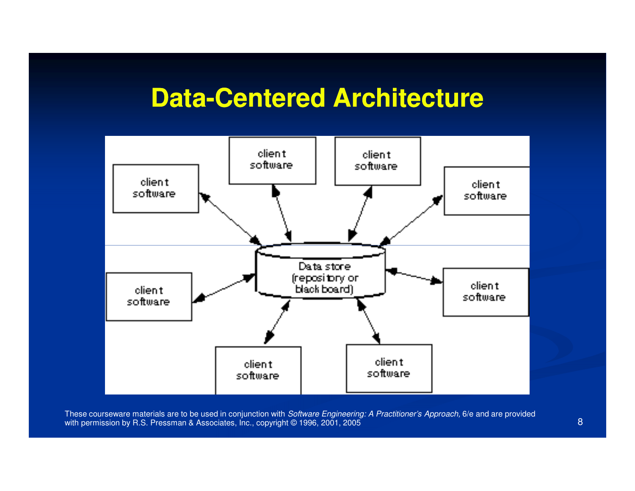# **Data-Centered Architecture**



These courseware materials are to be used in conjunction with *Software Engineering: A Practitioner's Approach,* 6/e and are provided with permission by R.S. Pressman & Associates, Inc., copyright © 1996, 2001, 2005 5 and 2014 and 2014 and 2014 and 2014 and 2014 and 2014 and 2014 and 2014 and 2014 and 2014 and 2014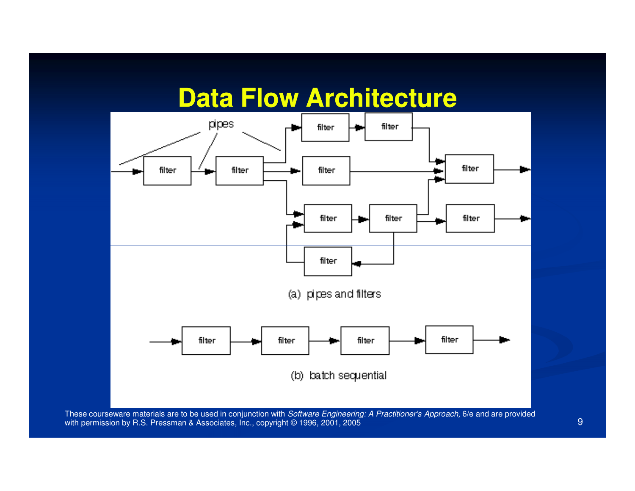### **Data Flow Architecture**

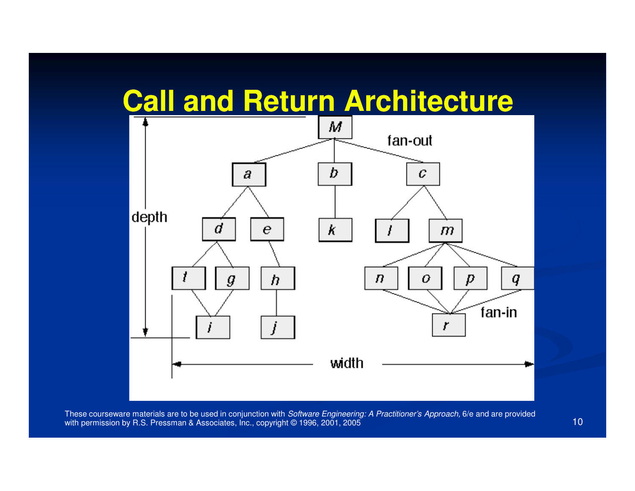### **Call and Return Architecture**

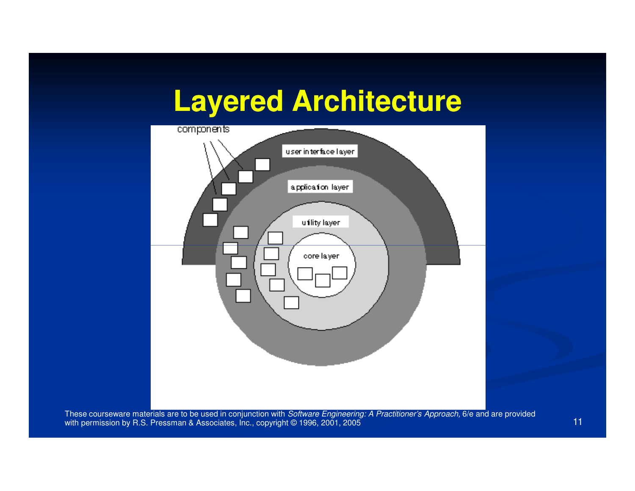### **Layered Architecture**

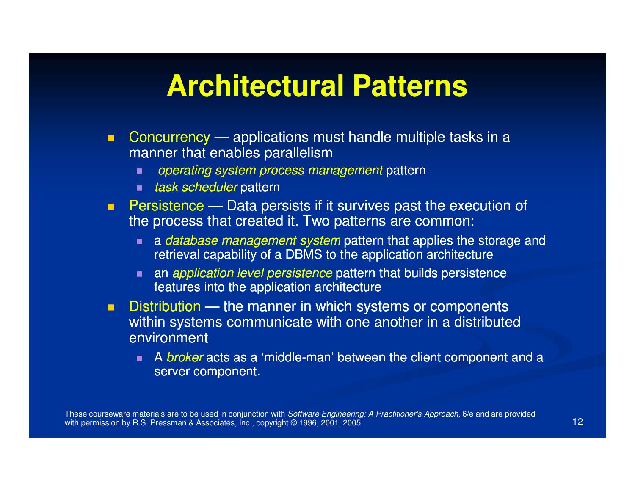### **Architectural Patterns**

- $\blacksquare$ ■ Concurrency — applications must handle multiple tasks in a manner that enables parallelism
	- $\blacksquare$ operating system process management pattern
	- *task scheduler* pattern
- **Persistence** Data persists if it survives past the execution of the process that created it. Two patterns are common:
	- a database management system pattern that applies the storage and<br>retrieval canability of a DBMS to the application architecture retrieval capability of a DBMS to the application architecture
	- an application level persistence pattern that builds persistence features into the application architecture
- $\blacksquare$ **Distribution** — the manner in which systems or components within systems communicate with one another in a distributed environment
	- п. A broker acts as a 'middle-man' between the client component and a the component and a server component.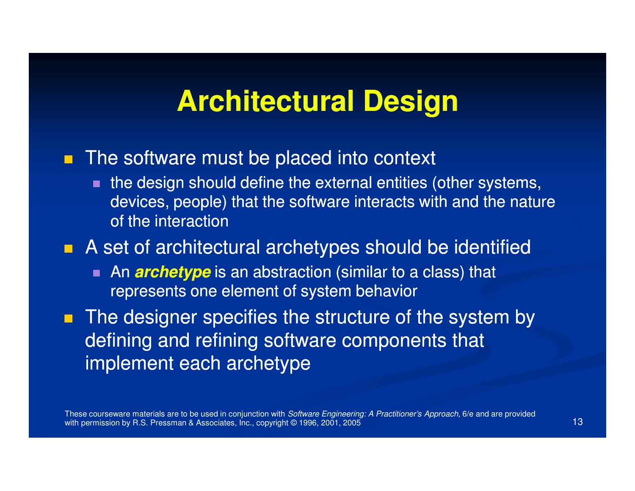### **Architectural Design**

### **The software must be placed into context**

 the design should define the external entities (other systems, devices, people) that the software interacts with and the nature of the interaction

### **A** set of architectural archetypes should be identified

п ■ An *archetype* is an abstraction (similar to a class) that represents one element of system behavior

 $\blacksquare$  The designer specifies the structure of the system by defining and refining software components that implement each archetype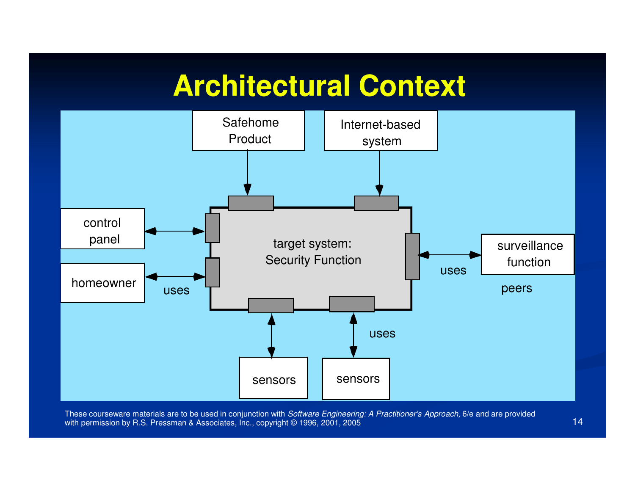### **Architectural Context**

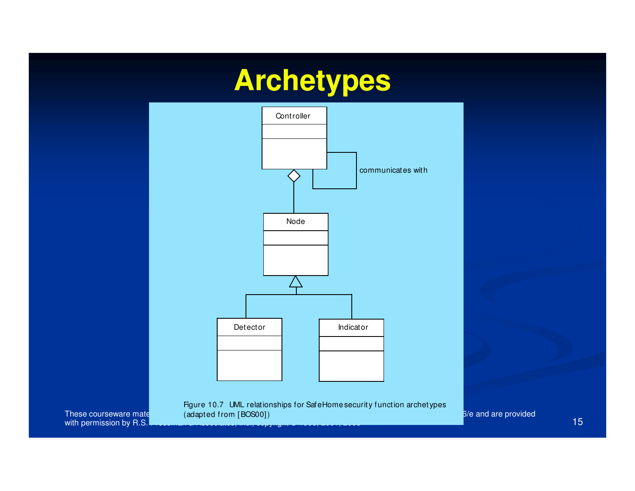## **Archetypes**



with permission by R.S.

These courseware mate $\rule{1em}{0.15mm}$  are to be used in conjunction with Software  $\rule{1em}{0.15mm}$ <u>15 - An Aonaic Aonaic Aonaic Aonaic Aonaic Aonaic Aonaic Aonaic Aonaic Aonaic Aonaic Aonaic Aonaic Aonaic Aon</u> Figure 10.7 UML relationships for SafeHome securit y function archetypes

6/e and are provided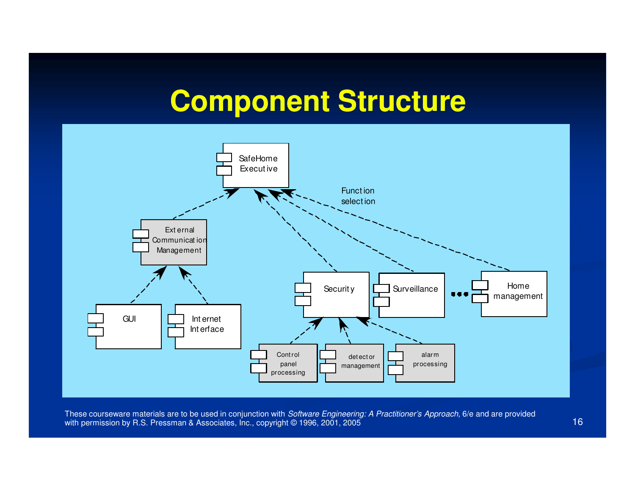### **Component Structure**

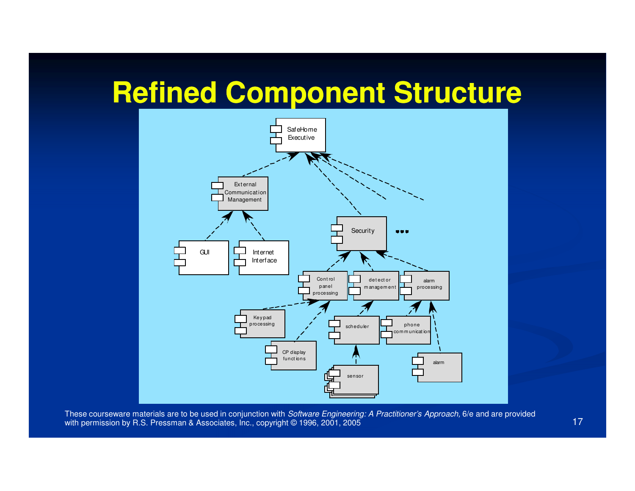### **Refined Component Structure**

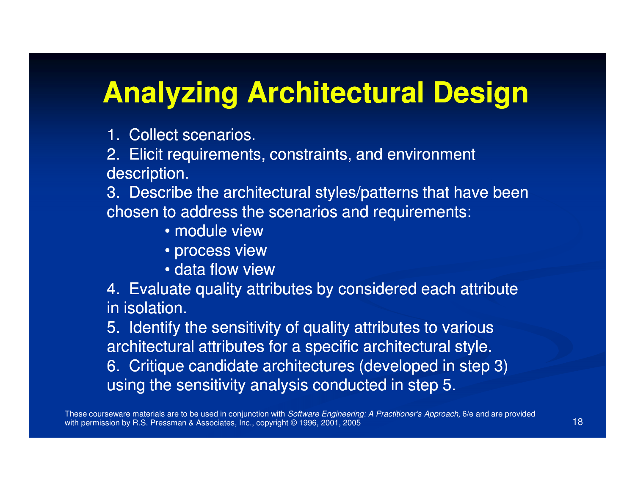### **Analyzing Architectural Design**

1. Collect scenarios.

2. Elicit requirements, constraints, and environment description.

 3. Describe the architectural styles/patterns that have been chosen to address the scenarios and requirements:

- module view
- process view
- data flow view

 4. Evaluate quality attributes by considered each attribute in isolation.

5. Identify the sensitivity of quality attributes to various architectural attributes for a specific architectural style.

6. Critique candidate architectures (developed in step 3) using the sensitivity analysis conducted in step 5.

These courseware materials are to be used in conjunction with *Software Engineering: A Practitioner's Approach,* 6/e and are provided with permission by R.S. Pressman & Associates, Inc., copyright © 1996, 2001, 2005 $5$  (18)  $\frac{1}{2}$  (18)  $\frac{1}{2}$  (18)  $\frac{1}{2}$  (18)  $\frac{1}{2}$  (18)  $\frac{1}{2}$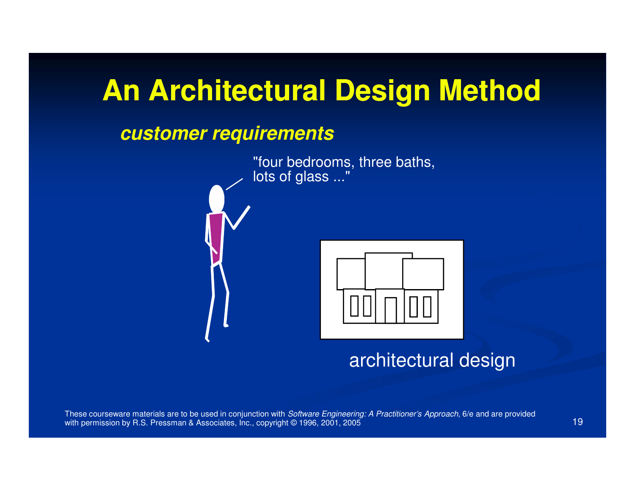### **An Architectural Design Method**

#### **customer requirements**



architectural design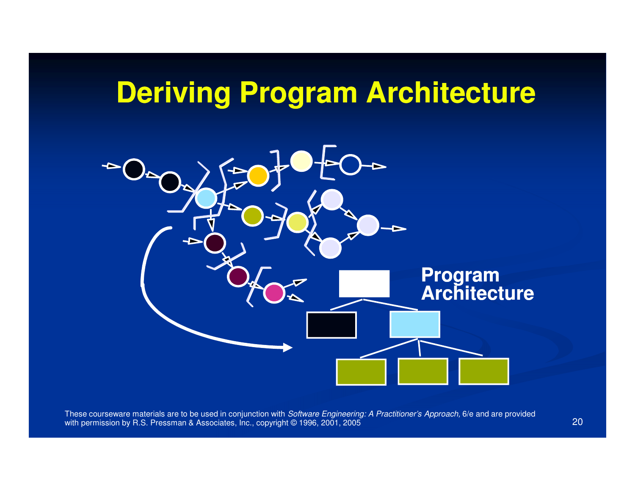### **Deriving Program Architecture**

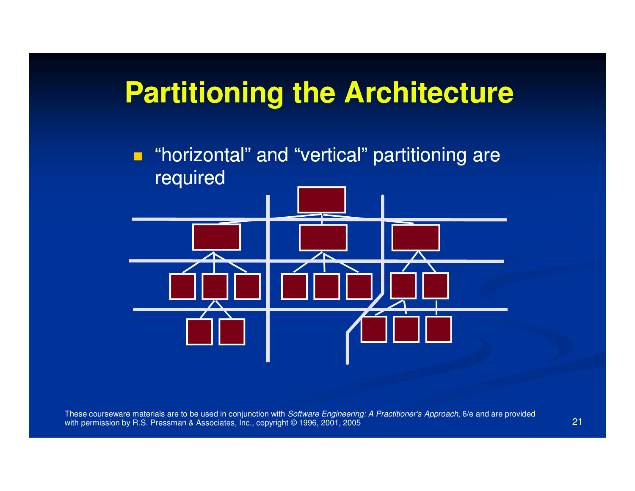### **Partitioning the Architecture**

 $\blacksquare$  "horizontal" and "vertical" partitioning are required

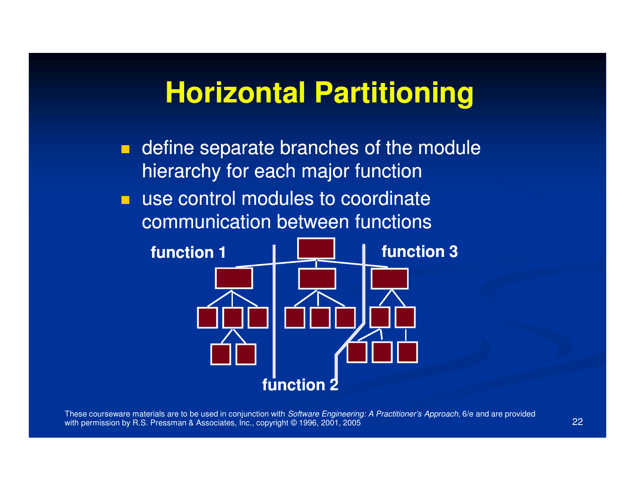### **Horizontal Partitioning**

**define separate branches of the module** hierarchy for each major function

■ use control modules to coordinate communication between functions

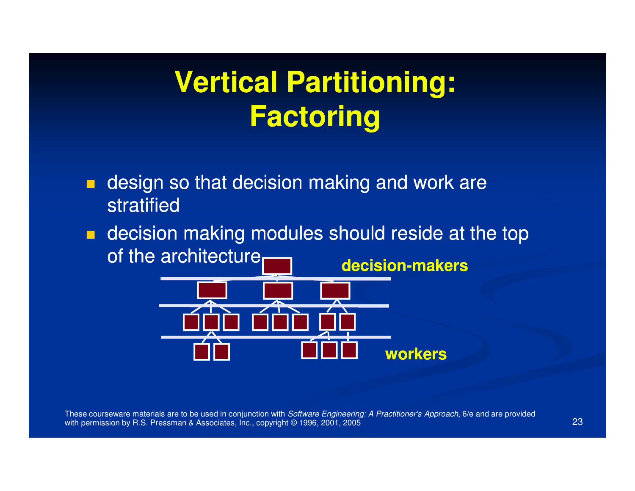### **Vertical Partitioning:Factoring**

- $\blacksquare$  design so that decision making and work are stratified
- **decision making modules should reside at the top** of the architecture

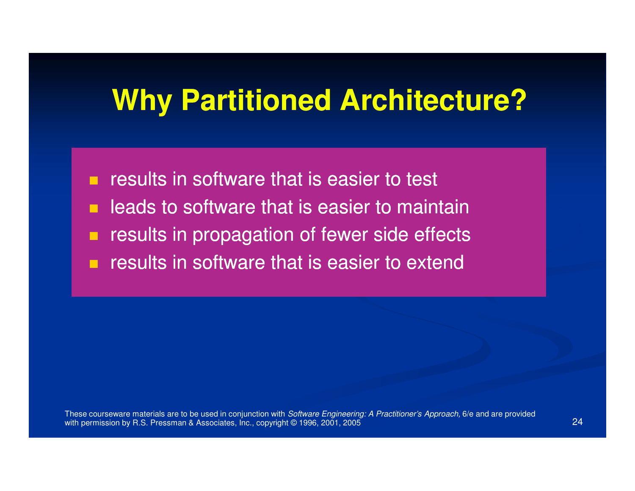### **Why Partitioned Architecture?**

- $\blacksquare$ results in software that is easier to test
- п leads to software that is easier to maintain
- $\blacksquare$ results in propagation of fewer side effects
- $\blacksquare$ results in software that is easier to extend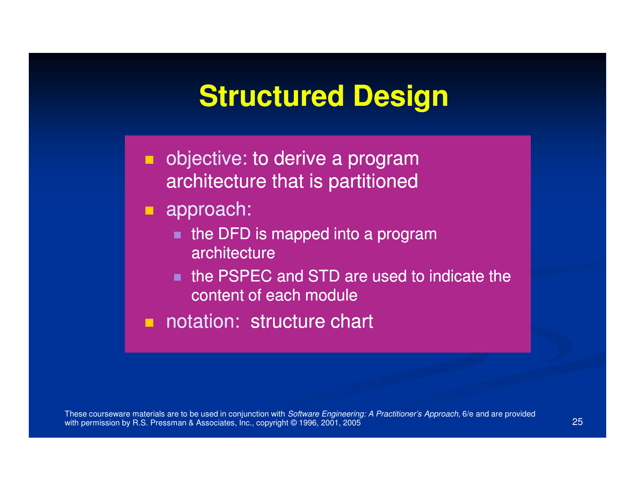### **Structured Design**

- **objective: to derive a program** architecture that is partitioned
- **approach:** 
	- $\blacksquare$  the DFD is mapped into a program architecture
	- the PSPEC and STD are used to indicate the content of each module
- notation: structure chart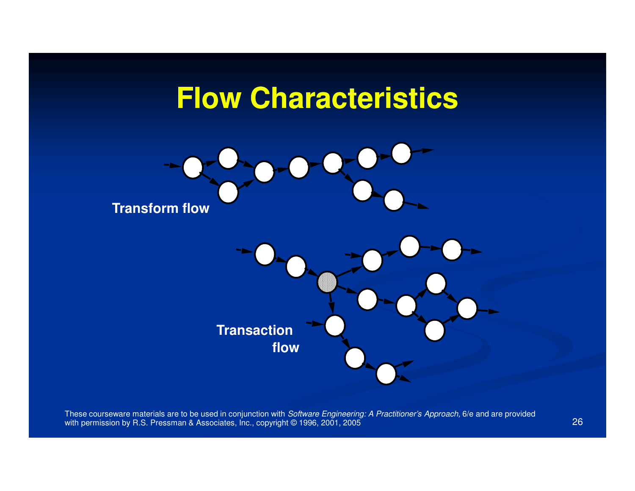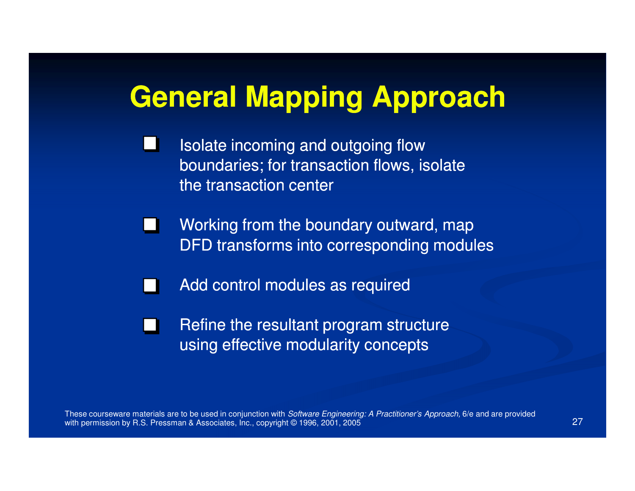### **General Mapping Approach**

- Isolate incoming and outgoing flow I. boundaries; for transaction flows, isolate the transaction center
- Working from the boundary outward, map DFD transforms into corresponding modules
	- Add control modules as required

 $\mathbf{I}$ 

Refine the resultant program structure $\sim 100$ using effective modularity concepts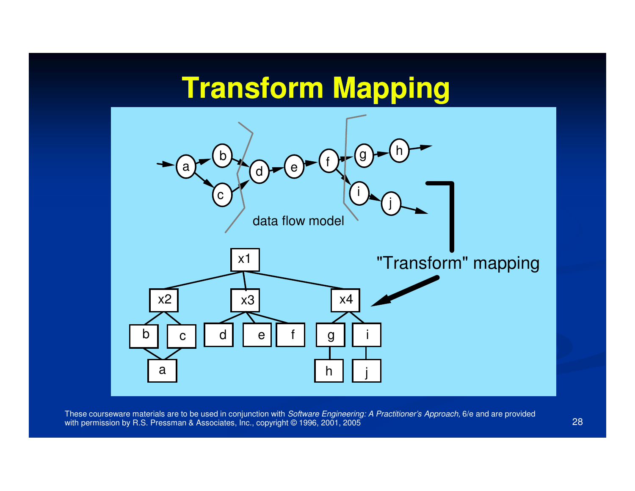### **Transform Mapping**



These courseware materials are to be used in conjunction with *Software Engineering: A Practitioner's Approach,* 6/e and are provided with permission by R.S. Pressman & Associates, Inc., copyright © 1996, 2001, 2005 5 and 28 and 28 and 28 and 28 and 28 and 28 and 28 and 28 and 28 and 28 and 28 and 28 and 28 and 28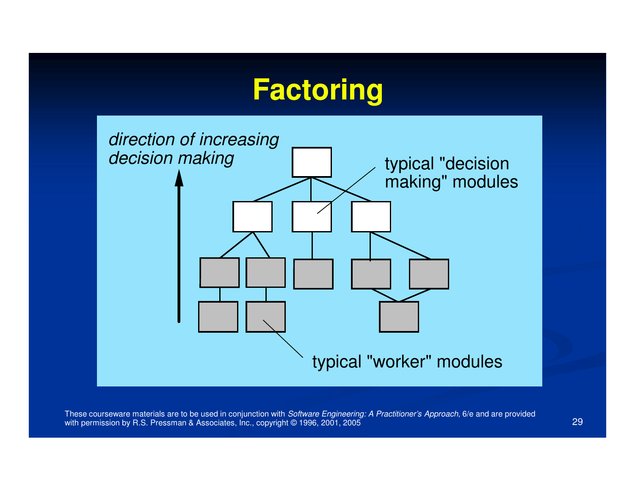### **Factoring**

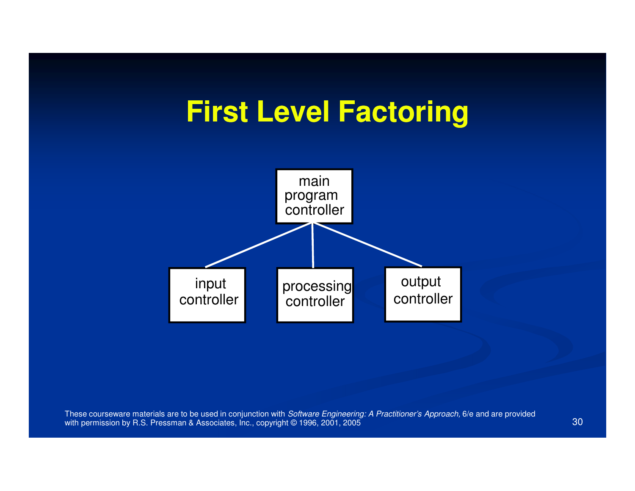### **First Level Factoring**

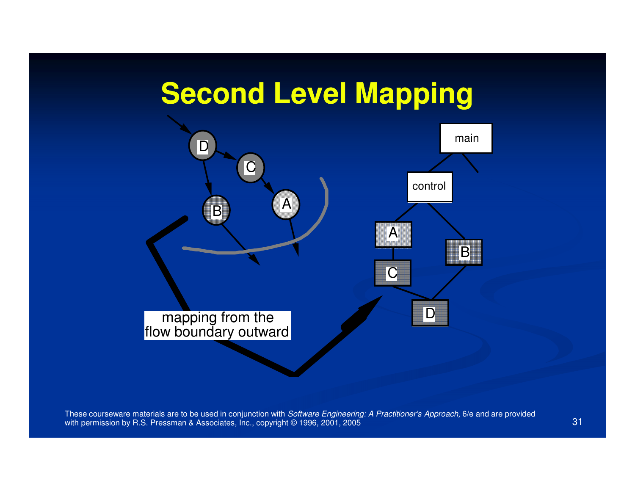### **Second Level Mapping**

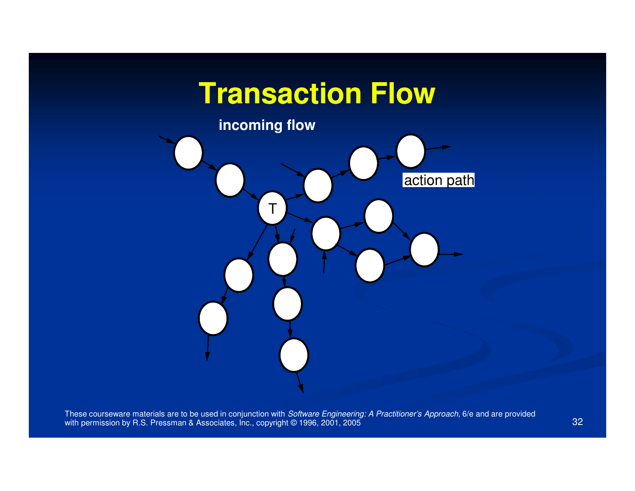### **Transaction Flow**

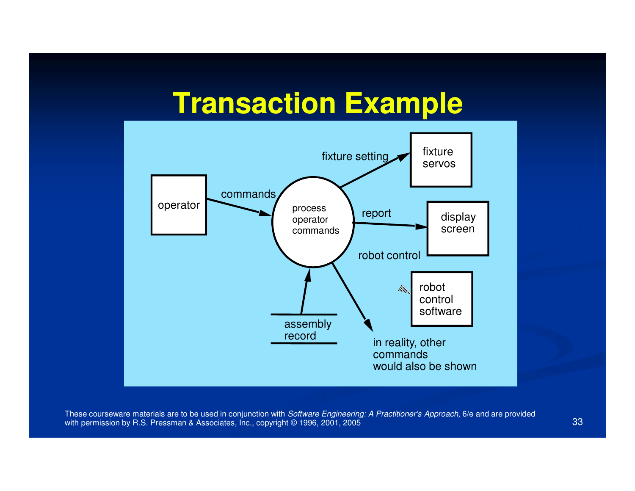### **Transaction Example**

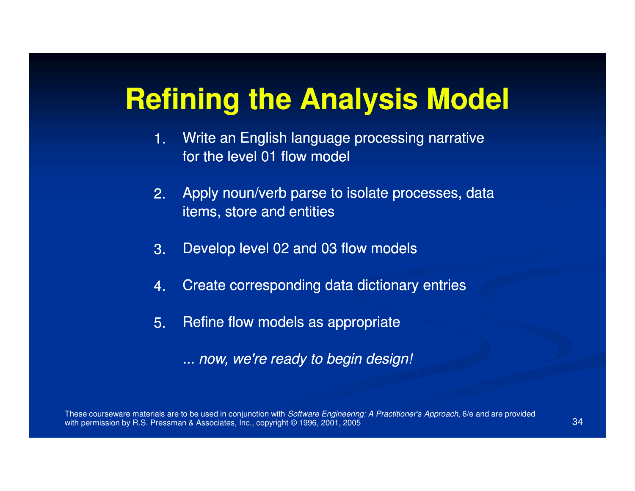### **Refining the Analysis Model**

- Write an English language processing narrative for the level 01 flow model1.
- Apply noun/verb parse to isolate processes, data items, store and entities2.
- Develop level 02 and 03 flow models3.
- Create corresponding data dictionary entries4.
- Refine flow models as appropriate5.
	- ... now, we're ready to begin design!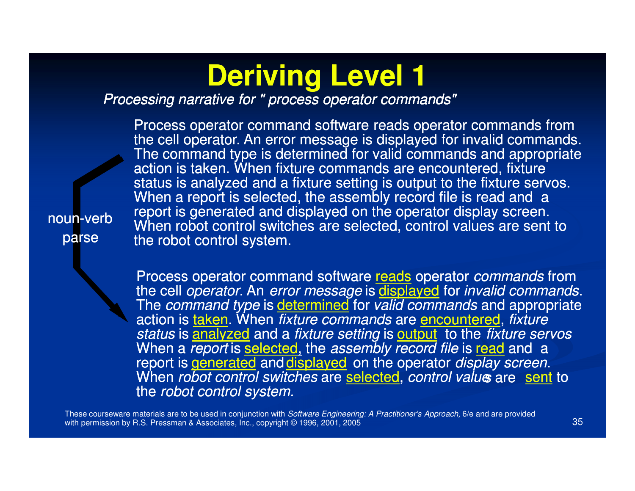### **Deriving Level 1**

#### Processing narrative for " process operator commands"

Process operator command software reads operator commands from the cell operator. An error message is displayed for invalid commands. The command type is determined for valid commands and appropriate action is taken. When fixture commands are encountered, fixture status is analyzed and a fixture setting is output to the fixture servos. When a report is selected, the assembly record file is read and a report is generated and displayed on the operator display screen. When robot control switches are selected, control values are sent to the robot control system.

noun-verbparse

> Process operator command software reads operator *commands* from the cell *operator*. An *error message* is displayed for *invalid commands.*<br>The command time is determined for valid commands and appropriate. The *command type* is *determined* for *valid commands* and appropriate action is <u>taken</u>. When *fixture commands* are <u>encountered,</u> fixture<br>atatus is anotherad and a finture astimate authority that finture as w status is **analyzed** and a *fixture setting* is **output** to the *fixture servos*. When a *report* is selected, the *assembly record file* is **<u>read</u> and a** and **a** report is generated and displayed on the operator *display screen.*<br>When rehat cantral quitables are selected, cantral value are need: When *robot control switches* are <u>selected,</u> *control valu*e are sent to the robot control system.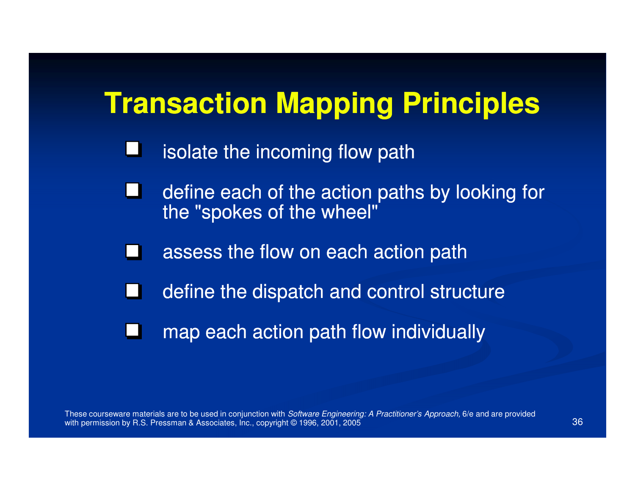### **Transaction Mapping Principles**

- L isolate the incoming flow path
- define each of the action paths by looking for the "spokes of the wheel"
- assess the flow on each action path
- define the dispatch and control structure**Contract**
- map each action path flow individuallyШ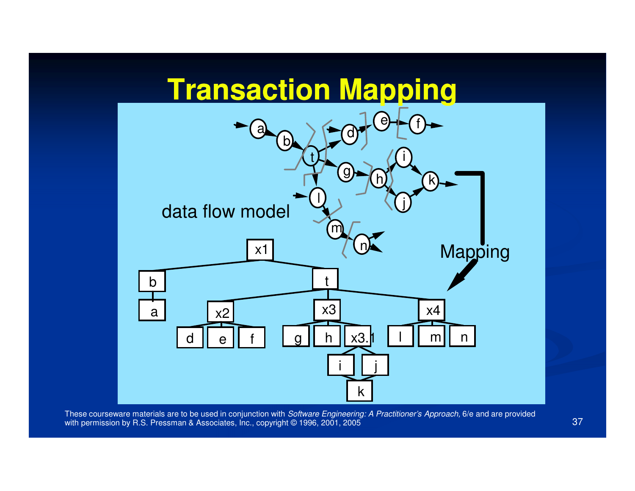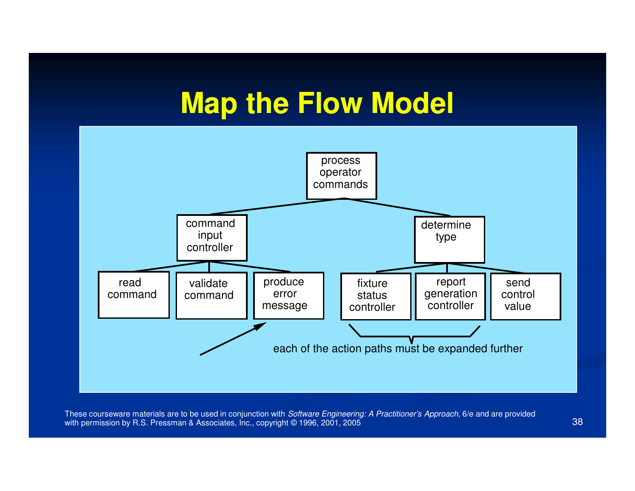### **Map the Flow Model**